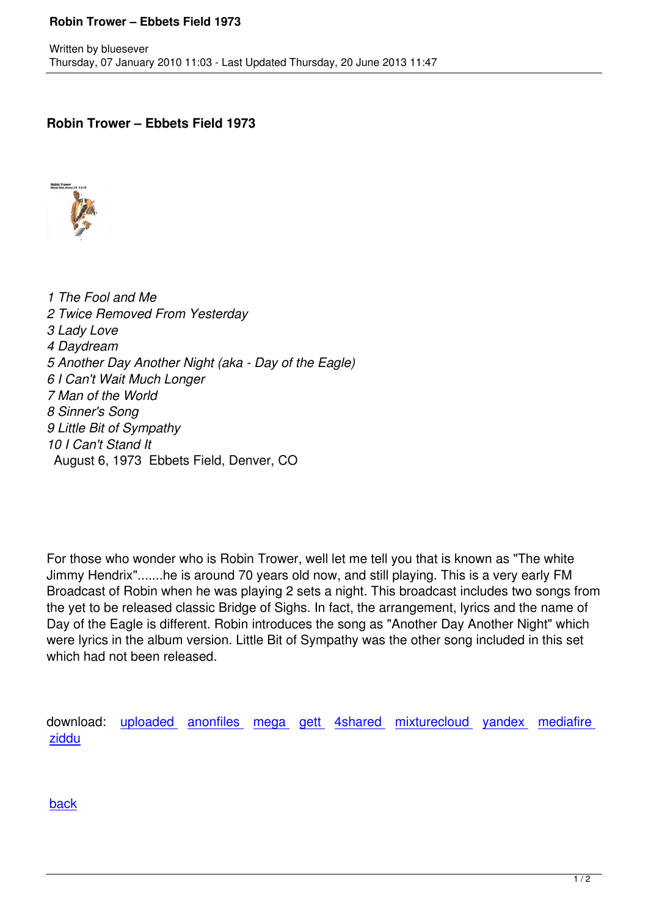## **Robin Trower – Ebbets Field 1973**



*1 The Fool and Me 2 Twice Removed From Yesterday 3 Lady Love 4 Daydream 5 Another Day Another Night (aka - Day of the Eagle) 6 I Can't Wait Much Longer 7 Man of the World 8 Sinner's Song 9 Little Bit of Sympathy 10 I Can't Stand It* August 6, 1973 Ebbets Field, Denver, CO

For those who wonder who is Robin Trower, well let me tell you that is known as "The white Jimmy Hendrix".......he is around 70 years old now, and still playing. This is a very early FM Broadcast of Robin when he was playing 2 sets a night. This broadcast includes two songs from the yet to be released classic Bridge of Sighs. In fact, the arrangement, lyrics and the name of Day of the Eagle is different. Robin introduces the song as "Another Day Another Night" which were lyrics in the album version. Little Bit of Sympathy was the other song included in this set which had not been released.

download: uploaded anonfiles mega gett 4shared mixturecloud yandex mediafire ziddu

[back](http://www.ziddu.com/download/22405147/RTw-EB73.zip.html)